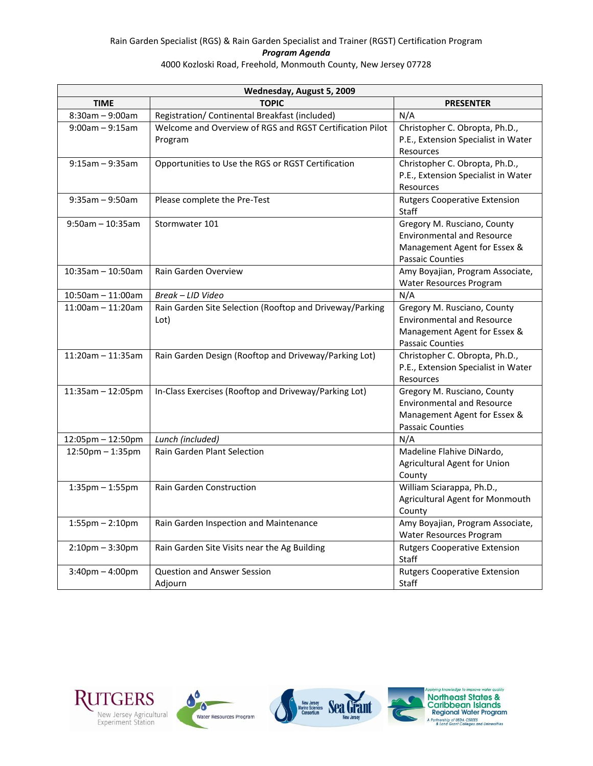## Rain Garden Specialist (RGS) & Rain Garden Specialist and Trainer (RGST) Certification Program *Program Agenda* 4000 Kozloski Road, Freehold, Monmouth County, New Jersey 07728

| Wednesday, August 5, 2009 |                                                                     |                                                                                                                             |
|---------------------------|---------------------------------------------------------------------|-----------------------------------------------------------------------------------------------------------------------------|
| <b>TIME</b>               | <b>TOPIC</b>                                                        | <b>PRESENTER</b>                                                                                                            |
| $8:30am - 9:00am$         | Registration/ Continental Breakfast (included)                      | N/A                                                                                                                         |
| $9:00am - 9:15am$         | Welcome and Overview of RGS and RGST Certification Pilot<br>Program | Christopher C. Obropta, Ph.D.,<br>P.E., Extension Specialist in Water<br>Resources                                          |
| $9:15am - 9:35am$         | Opportunities to Use the RGS or RGST Certification                  | Christopher C. Obropta, Ph.D.,<br>P.E., Extension Specialist in Water<br>Resources                                          |
| $9:35am - 9:50am$         | Please complete the Pre-Test                                        | <b>Rutgers Cooperative Extension</b><br>Staff                                                                               |
| $9:50$ am - 10:35am       | Stormwater 101                                                      | Gregory M. Rusciano, County<br><b>Environmental and Resource</b><br>Management Agent for Essex &<br><b>Passaic Counties</b> |
| $10:35am - 10:50am$       | Rain Garden Overview                                                | Amy Boyajian, Program Associate,<br>Water Resources Program                                                                 |
| $10:50$ am - 11:00am      | Break - LID Video                                                   | N/A                                                                                                                         |
| $11:00am - 11:20am$       | Rain Garden Site Selection (Rooftop and Driveway/Parking<br>Lot)    | Gregory M. Rusciano, County<br><b>Environmental and Resource</b><br>Management Agent for Essex &<br><b>Passaic Counties</b> |
| $11:20$ am - $11:35$ am   | Rain Garden Design (Rooftop and Driveway/Parking Lot)               | Christopher C. Obropta, Ph.D.,<br>P.E., Extension Specialist in Water<br>Resources                                          |
| $11:35am - 12:05pm$       | In-Class Exercises (Rooftop and Driveway/Parking Lot)               | Gregory M. Rusciano, County<br><b>Environmental and Resource</b><br>Management Agent for Essex &<br><b>Passaic Counties</b> |
| 12:05pm - 12:50pm         | Lunch (included)                                                    | N/A                                                                                                                         |
| 12:50pm - 1:35pm          | Rain Garden Plant Selection                                         | Madeline Flahive DiNardo,<br>Agricultural Agent for Union<br>County                                                         |
| $1:35$ pm $-1:55$ pm      | Rain Garden Construction                                            | William Sciarappa, Ph.D.,<br>Agricultural Agent for Monmouth<br>County                                                      |
| $1:55$ pm $- 2:10$ pm     | Rain Garden Inspection and Maintenance                              | Amy Boyajian, Program Associate,<br><b>Water Resources Program</b>                                                          |
| $2:10$ pm $-3:30$ pm      | Rain Garden Site Visits near the Ag Building                        | <b>Rutgers Cooperative Extension</b><br>Staff                                                                               |
| $3:40$ pm $-4:00$ pm      | <b>Question and Answer Session</b><br>Adjourn                       | <b>Rutgers Cooperative Extension</b><br>Staff                                                                               |